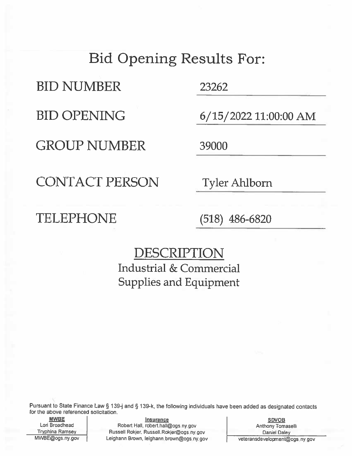## **Bid Opening Results For:**

**BID NUMBER** 

**BID OPENING** 

**GROUP NUMBER** 

23262

6/15/2022 11:00:00 AM

39000

**CONTACT PERSON** 

**Tyler Ahlborn** 

TELEPHONE

 $(518)$  486-6820

DESCRIPTION **Industrial & Commercial Supplies and Equipment** 

Pursuant to State Finance Law § 139-j and § 139-k, the following individuals have been added as designated contacts for the above referenced solicitation.

**MWBE** Lori Broadhead **Tryphina Ramsey** MWBE@ogs.ny.gov

**Insurance** Robert Hall, robert.hall@ogs.ny.gov Russell Rokjer, Russell.Rokjer@ogs.ny.gov Leighann Brown, leighann brown@ogs.ny.gov

**SDVOB Anthony Tomaselli Daniel Daley** veteransdevelopment@ogs.ny.gov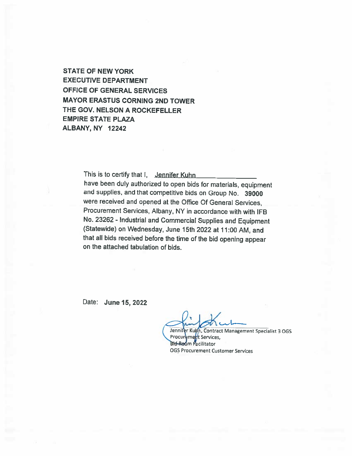**STATE OF NEW YORK EXECUTIVE DEPARTMENT** OFFICE OF GENERAL SERVICES **MAYOR ERASTUS CORNING 2ND TOWER** THE GOV. NELSON A ROCKEFELLER **EMPIRE STATE PLAZA** ALBANY, NY 12242

> This is to certify that I, Jennifer Kuhn have been duly authorized to open bids for materials, equipment and supplies, and that competitive bids on Group No. 39000 were received and opened at the Office Of General Services, Procurement Services, Albany, NY in accordance with with IFB No. 23262 - Industrial and Commercial Supplies and Equipment (Statewide) on Wednesday, June 15th 2022 at 11:00 AM, and that all bids received before the time of the bid opening appear on the attached tabulation of bids.

Date: June 15, 2022

Jennifer Kuth, Contract Management Specialist 3 OGS Procurement Services, **Bid-Reom Pacilitator OGS Procurement Customer Services**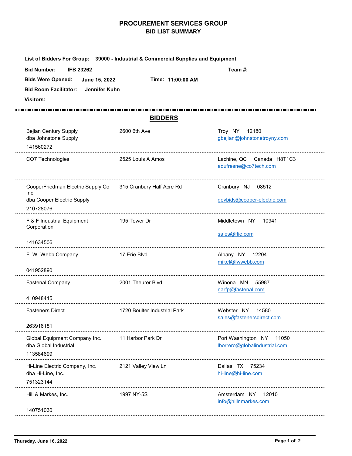## PROCUREMENT SERVICES GROUP BID LIST SUMMARY

|                                                                                                                                                          | <b>PROCUREMENT SERVICES GROUP</b><br><b>BID LIST SUMMARY</b>                      |                                                           |  |  |  |
|----------------------------------------------------------------------------------------------------------------------------------------------------------|-----------------------------------------------------------------------------------|-----------------------------------------------------------|--|--|--|
|                                                                                                                                                          | List of Bidders For Group: 39000 - Industrial & Commercial Supplies and Equipment |                                                           |  |  |  |
| <b>IFB 23262</b><br><b>Bid Number:</b><br><b>Bids Were Opened:</b><br>June 15, 2022<br><b>Bid Room Facilitator:</b><br>Jennifer Kuhn<br><b>Visitors:</b> | Time: 11:00:00 AM                                                                 | Team #:                                                   |  |  |  |
|                                                                                                                                                          | <b>BIDDERS</b>                                                                    |                                                           |  |  |  |
| <b>Bejian Century Supply</b><br>dba Johnstone Supply<br>141560272                                                                                        | 2600 6th Ave                                                                      | Troy NY 12180<br>gbejian@johnstonetroyny.com              |  |  |  |
| CO7 Technologies                                                                                                                                         | 2525 Louis A Amos                                                                 | Lachine, QC Canada H8T1C3<br>adufresne@co7tech.com        |  |  |  |
| CooperFriedman Electric Supply Co 315 Cranbury Half Acre Rd<br>Inc.<br>dba Cooper Electric Supply<br>210728076                                           |                                                                                   | Cranbury NJ 08512<br>govbids@cooper-electric.com          |  |  |  |
| F & F Industrial Equipment<br>Corporation                                                                                                                | 195 Tower Dr                                                                      | Middletown NY 10941<br>sales@ffie.com                     |  |  |  |
| 141634506<br>F. W. Webb Company<br>041952890                                                                                                             | 17 Erie Blvd                                                                      | Albany NY 12204<br>mikel@fwwebb.com                       |  |  |  |
| <b>Fastenal Company</b><br>410948415                                                                                                                     | 2001 Theurer Blvd                                                                 | Winona MN 55987<br>narfp@fastenal.com                     |  |  |  |
| <b>Fasteners Direct</b>                                                                                                                                  | 1720 Boulter Industrial Park                                                      | Webster NY 14580<br>sales@fastenersdirect.com             |  |  |  |
| 263916181<br>Global Equipment Company Inc.<br>dba Global Industrial<br>113584699                                                                         | 11 Harbor Park Dr                                                                 | Port Washington NY 11050<br>lborrero@globalindustrial.com |  |  |  |
| Hi-Line Electric Company, Inc.                                                                                                                           | 2121 Valley View Ln                                                               | Dallas TX 75234<br>hi-line@hi-line.com                    |  |  |  |
| dba Hi-Line, Inc.<br>751323144                                                                                                                           |                                                                                   |                                                           |  |  |  |